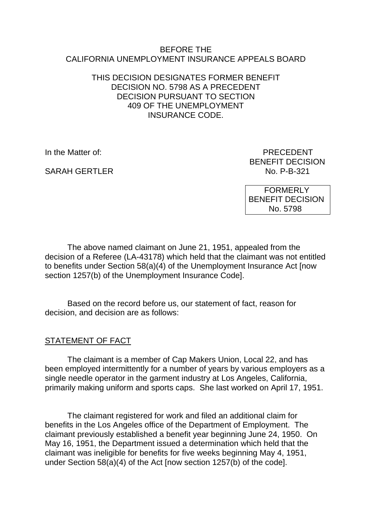#### BEFORE THE CALIFORNIA UNEMPLOYMENT INSURANCE APPEALS BOARD

#### THIS DECISION DESIGNATES FORMER BENEFIT DECISION NO. 5798 AS A PRECEDENT DECISION PURSUANT TO SECTION 409 OF THE UNEMPLOYMENT INSURANCE CODE.

SARAH GERTLER NO. P-B-321

In the Matter of: PRECEDENT BENEFIT DECISION

> FORMERLY BENEFIT DECISION No. 5798

The above named claimant on June 21, 1951, appealed from the decision of a Referee (LA-43178) which held that the claimant was not entitled to benefits under Section 58(a)(4) of the Unemployment Insurance Act [now section 1257(b) of the Unemployment Insurance Code].

Based on the record before us, our statement of fact, reason for decision, and decision are as follows:

## STATEMENT OF FACT

The claimant is a member of Cap Makers Union, Local 22, and has been employed intermittently for a number of years by various employers as a single needle operator in the garment industry at Los Angeles, California, primarily making uniform and sports caps. She last worked on April 17, 1951.

The claimant registered for work and filed an additional claim for benefits in the Los Angeles office of the Department of Employment. The claimant previously established a benefit year beginning June 24, 1950. On May 16, 1951, the Department issued a determination which held that the claimant was ineligible for benefits for five weeks beginning May 4, 1951, under Section 58(a)(4) of the Act [now section 1257(b) of the code].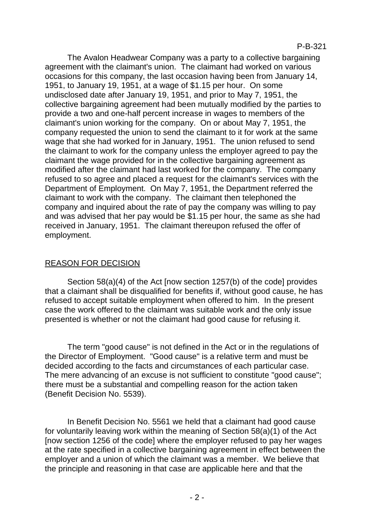The Avalon Headwear Company was a party to a collective bargaining agreement with the claimant's union. The claimant had worked on various occasions for this company, the last occasion having been from January 14, 1951, to January 19, 1951, at a wage of \$1.15 per hour. On some undisclosed date after January 19, 1951, and prior to May 7, 1951, the collective bargaining agreement had been mutually modified by the parties to provide a two and one-half percent increase in wages to members of the claimant's union working for the company. On or about May 7, 1951, the company requested the union to send the claimant to it for work at the same wage that she had worked for in January, 1951. The union refused to send the claimant to work for the company unless the employer agreed to pay the claimant the wage provided for in the collective bargaining agreement as modified after the claimant had last worked for the company. The company refused to so agree and placed a request for the claimant's services with the Department of Employment. On May 7, 1951, the Department referred the claimant to work with the company. The claimant then telephoned the company and inquired about the rate of pay the company was willing to pay and was advised that her pay would be \$1.15 per hour, the same as she had received in January, 1951. The claimant thereupon refused the offer of employment.

## REASON FOR DECISION

Section 58(a)(4) of the Act [now section 1257(b) of the code] provides that a claimant shall be disqualified for benefits if, without good cause, he has refused to accept suitable employment when offered to him. In the present case the work offered to the claimant was suitable work and the only issue presented is whether or not the claimant had good cause for refusing it.

The term "good cause" is not defined in the Act or in the regulations of the Director of Employment. "Good cause" is a relative term and must be decided according to the facts and circumstances of each particular case. The mere advancing of an excuse is not sufficient to constitute "good cause"; there must be a substantial and compelling reason for the action taken (Benefit Decision No. 5539).

In Benefit Decision No. 5561 we held that a claimant had good cause for voluntarily leaving work within the meaning of Section 58(a)(1) of the Act [now section 1256 of the code] where the employer refused to pay her wages at the rate specified in a collective bargaining agreement in effect between the employer and a union of which the claimant was a member. We believe that the principle and reasoning in that case are applicable here and that the